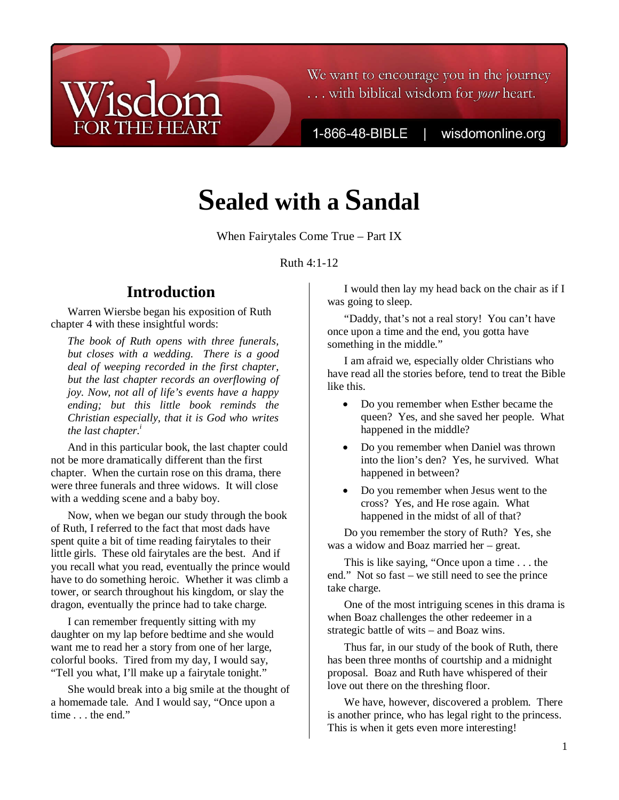## We want to encourage you in the journey ... with biblical wisdom for your heart.

1-866-48-BIBLE

wisdomonline.org

# **Sealed with a Sandal**

When Fairytales Come True – Part IX

Ruth 4:1-12

# **Introduction**

**THE HEART** 

Warren Wiersbe began his exposition of Ruth chapter 4 with these insightful words:

*The book of Ruth opens with three funerals, but closes with a wedding. There is a good deal of weeping recorded in the first chapter, but the last chapter records an overflowing of joy. Now, not all of life's events have a happy ending; but this little book reminds the Christian especially, that it is God who writes the last chapter.<sup>i</sup>*

And in this particular book, the last chapter could not be more dramatically different than the first chapter. When the curtain rose on this drama, there were three funerals and three widows. It will close with a wedding scene and a baby boy.

Now, when we began our study through the book of Ruth, I referred to the fact that most dads have spent quite a bit of time reading fairytales to their little girls. These old fairytales are the best. And if you recall what you read, eventually the prince would have to do something heroic. Whether it was climb a tower, or search throughout his kingdom, or slay the dragon, eventually the prince had to take charge.

I can remember frequently sitting with my daughter on my lap before bedtime and she would want me to read her a story from one of her large, colorful books. Tired from my day, I would say, "Tell you what, I'll make up a fairytale tonight."

She would break into a big smile at the thought of a homemade tale. And I would say, "Once upon a time . . . the end."

I would then lay my head back on the chair as if I was going to sleep.

"Daddy, that's not a real story! You can't have once upon a time and the end, you gotta have something in the middle."

I am afraid we, especially older Christians who have read all the stories before, tend to treat the Bible like this.

- Do you remember when Esther became the queen? Yes, and she saved her people. What happened in the middle?
- Do you remember when Daniel was thrown into the lion's den? Yes, he survived. What happened in between?
- Do you remember when Jesus went to the cross? Yes, and He rose again. What happened in the midst of all of that?

Do you remember the story of Ruth? Yes, she was a widow and Boaz married her – great.

This is like saying, "Once upon a time . . . the end." Not so fast – we still need to see the prince take charge.

One of the most intriguing scenes in this drama is when Boaz challenges the other redeemer in a strategic battle of wits – and Boaz wins.

Thus far, in our study of the book of Ruth, there has been three months of courtship and a midnight proposal. Boaz and Ruth have whispered of their love out there on the threshing floor.

We have, however, discovered a problem. There is another prince, who has legal right to the princess. This is when it gets even more interesting!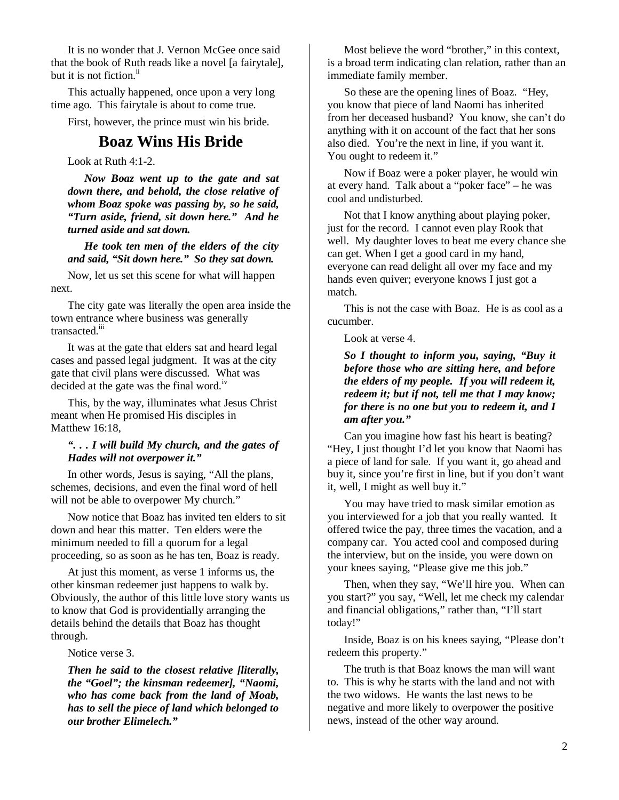It is no wonder that J. Vernon McGee once said that the book of Ruth reads like a novel [a fairytale], but it is not fiction. $<sup>ii</sup>$ </sup>

This actually happened, once upon a very long time ago. This fairytale is about to come true.

First, however, the prince must win his bride.

### **Boaz Wins His Bride**

Look at Ruth 4:1-2.

*Now Boaz went up to the gate and sat down there, and behold, the close relative of whom Boaz spoke was passing by, so he said, "Turn aside, friend, sit down here." And he turned aside and sat down.* 

*He took ten men of the elders of the city and said, "Sit down here." So they sat down.* 

Now, let us set this scene for what will happen next.

The city gate was literally the open area inside the town entrance where business was generally transacted.iii

It was at the gate that elders sat and heard legal cases and passed legal judgment. It was at the city gate that civil plans were discussed. What was decided at the gate was the final word.<sup>iv</sup>

This, by the way, illuminates what Jesus Christ meant when He promised His disciples in Matthew 16:18,

#### *". . . I will build My church, and the gates of Hades will not overpower it."*

In other words, Jesus is saying, "All the plans, schemes, decisions, and even the final word of hell will not be able to overpower My church."

Now notice that Boaz has invited ten elders to sit down and hear this matter. Ten elders were the minimum needed to fill a quorum for a legal proceeding, so as soon as he has ten, Boaz is ready.

At just this moment, as verse 1 informs us, the other kinsman redeemer just happens to walk by. Obviously, the author of this little love story wants us to know that God is providentially arranging the details behind the details that Boaz has thought through.

Notice verse 3.

*Then he said to the closest relative [literally, the "Goel"; the kinsman redeemer], "Naomi, who has come back from the land of Moab, has to sell the piece of land which belonged to our brother Elimelech."* 

Most believe the word "brother," in this context, is a broad term indicating clan relation, rather than an immediate family member.

So these are the opening lines of Boaz. "Hey, you know that piece of land Naomi has inherited from her deceased husband? You know, she can't do anything with it on account of the fact that her sons also died. You're the next in line, if you want it. You ought to redeem it."

Now if Boaz were a poker player, he would win at every hand. Talk about a "poker face" – he was cool and undisturbed.

Not that I know anything about playing poker, just for the record. I cannot even play Rook that well. My daughter loves to beat me every chance she can get. When I get a good card in my hand, everyone can read delight all over my face and my hands even quiver; everyone knows I just got a match.

This is not the case with Boaz. He is as cool as a cucumber.

Look at verse 4.

*So I thought to inform you, saying, "Buy it before those who are sitting here, and before the elders of my people. If you will redeem it, redeem it; but if not, tell me that I may know; for there is no one but you to redeem it, and I am after you."* 

Can you imagine how fast his heart is beating? "Hey, I just thought I'd let you know that Naomi has a piece of land for sale. If you want it, go ahead and buy it, since you're first in line, but if you don't want it, well, I might as well buy it."

You may have tried to mask similar emotion as you interviewed for a job that you really wanted. It offered twice the pay, three times the vacation, and a company car. You acted cool and composed during the interview, but on the inside, you were down on your knees saying, "Please give me this job."

Then, when they say, "We'll hire you. When can you start?" you say, "Well, let me check my calendar and financial obligations," rather than, "I'll start today!"

Inside, Boaz is on his knees saying, "Please don't redeem this property."

The truth is that Boaz knows the man will want to. This is why he starts with the land and not with the two widows. He wants the last news to be negative and more likely to overpower the positive news, instead of the other way around.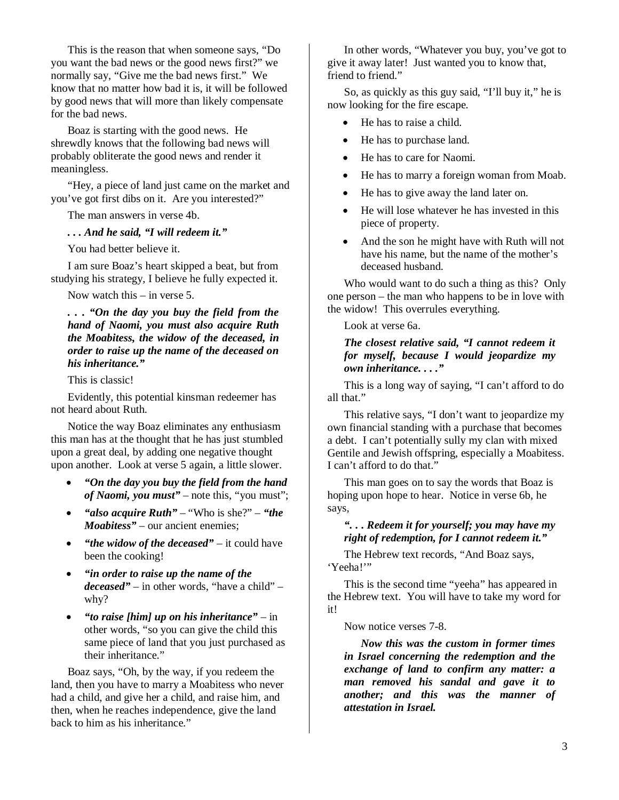This is the reason that when someone says, "Do you want the bad news or the good news first?" we normally say, "Give me the bad news first." We know that no matter how bad it is, it will be followed by good news that will more than likely compensate for the bad news.

Boaz is starting with the good news. He shrewdly knows that the following bad news will probably obliterate the good news and render it meaningless.

"Hey, a piece of land just came on the market and you've got first dibs on it. Are you interested?"

The man answers in verse 4b.

*. . . And he said, "I will redeem it."*

You had better believe it.

I am sure Boaz's heart skipped a beat, but from studying his strategy, I believe he fully expected it.

Now watch this – in verse 5.

#### *. . . "On the day you buy the field from the hand of Naomi, you must also acquire Ruth the Moabitess, the widow of the deceased, in order to raise up the name of the deceased on his inheritance."*

This is classic!

Evidently, this potential kinsman redeemer has not heard about Ruth.

Notice the way Boaz eliminates any enthusiasm this man has at the thought that he has just stumbled upon a great deal, by adding one negative thought upon another. Look at verse 5 again, a little slower.

- *"On the day you buy the field from the hand of Naomi, you must"* – note this, "you must";
- *"also acquire Ruth"*  "Who is she?" *"the Moabitess*" – our ancient enemies;
- *"the widow of the deceased"* it could have been the cooking!
- *"in order to raise up the name of the deceased"* – in other words, "have a child" – why?
- *"to raise [him] up on his inheritance"* in other words, "so you can give the child this same piece of land that you just purchased as their inheritance."

Boaz says, "Oh, by the way, if you redeem the land, then you have to marry a Moabitess who never had a child, and give her a child, and raise him, and then, when he reaches independence, give the land back to him as his inheritance."

In other words, "Whatever you buy, you've got to give it away later! Just wanted you to know that, friend to friend."

So, as quickly as this guy said, "I'll buy it," he is now looking for the fire escape.

- He has to raise a child.
- He has to purchase land.
- He has to care for Naomi.
- He has to marry a foreign woman from Moab.
- He has to give away the land later on.
- He will lose whatever he has invested in this piece of property.
- And the son he might have with Ruth will not have his name, but the name of the mother's deceased husband.

Who would want to do such a thing as this? Only one person – the man who happens to be in love with the widow! This overrules everything.

Look at verse 6a.

#### *The closest relative said, "I cannot redeem it for myself, because I would jeopardize my own inheritance. . . ."*

This is a long way of saying, "I can't afford to do all that."

This relative says, "I don't want to jeopardize my own financial standing with a purchase that becomes a debt. I can't potentially sully my clan with mixed Gentile and Jewish offspring, especially a Moabitess. I can't afford to do that."

This man goes on to say the words that Boaz is hoping upon hope to hear. Notice in verse 6b, he says,

#### *". . . Redeem it for yourself; you may have my right of redemption, for I cannot redeem it."*

The Hebrew text records, "And Boaz says, 'Yeeha!"

This is the second time "yeeha" has appeared in the Hebrew text. You will have to take my word for it!

Now notice verses 7-8.

*Now this was the custom in former times in Israel concerning the redemption and the exchange of land to confirm any matter: a man removed his sandal and gave it to another; and this was the manner of attestation in Israel.*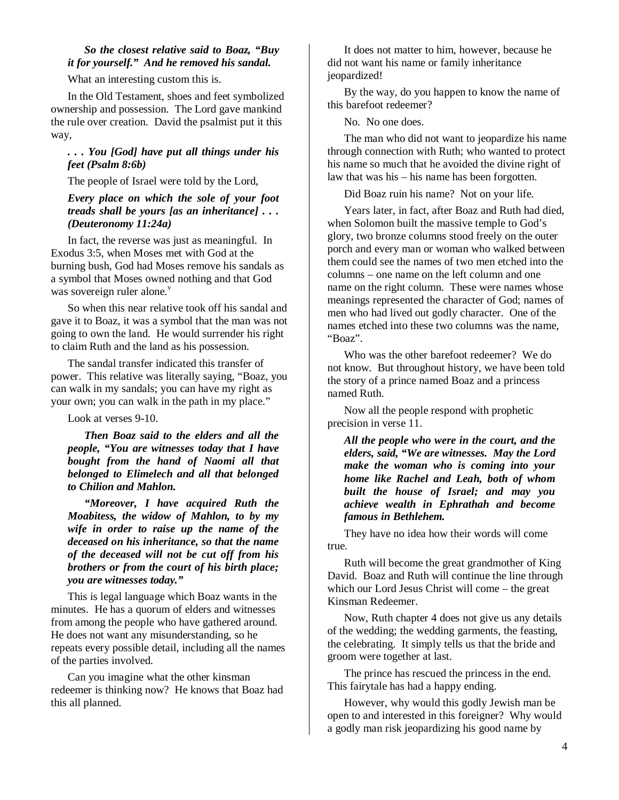#### *So the closest relative said to Boaz, "Buy it for yourself." And he removed his sandal.*

What an interesting custom this is.

In the Old Testament, shoes and feet symbolized ownership and possession. The Lord gave mankind the rule over creation. David the psalmist put it this way,

#### *. . . You [God] have put all things under his feet (Psalm 8:6b)*

The people of Israel were told by the Lord,

#### *Every place on which the sole of your foot treads shall be yours [as an inheritance] . . . (Deuteronomy 11:24a)*

In fact, the reverse was just as meaningful. In Exodus 3:5, when Moses met with God at the burning bush, God had Moses remove his sandals as a symbol that Moses owned nothing and that God was sovereign ruler alone. $v$ 

So when this near relative took off his sandal and gave it to Boaz, it was a symbol that the man was not going to own the land. He would surrender his right to claim Ruth and the land as his possession.

The sandal transfer indicated this transfer of power. This relative was literally saying, "Boaz, you can walk in my sandals; you can have my right as your own; you can walk in the path in my place."

Look at verses 9-10.

*Then Boaz said to the elders and all the people, "You are witnesses today that I have bought from the hand of Naomi all that belonged to Elimelech and all that belonged to Chilion and Mahlon.* 

*"Moreover, I have acquired Ruth the Moabitess, the widow of Mahlon, to by my wife in order to raise up the name of the deceased on his inheritance, so that the name of the deceased will not be cut off from his brothers or from the court of his birth place; you are witnesses today."* 

This is legal language which Boaz wants in the minutes. He has a quorum of elders and witnesses from among the people who have gathered around. He does not want any misunderstanding, so he repeats every possible detail, including all the names of the parties involved.

Can you imagine what the other kinsman redeemer is thinking now? He knows that Boaz had this all planned.

It does not matter to him, however, because he did not want his name or family inheritance jeopardized!

By the way, do you happen to know the name of this barefoot redeemer?

No. No one does.

The man who did not want to jeopardize his name through connection with Ruth; who wanted to protect his name so much that he avoided the divine right of law that was his – his name has been forgotten.

Did Boaz ruin his name? Not on your life.

Years later, in fact, after Boaz and Ruth had died, when Solomon built the massive temple to God's glory, two bronze columns stood freely on the outer porch and every man or woman who walked between them could see the names of two men etched into the columns – one name on the left column and one name on the right column. These were names whose meanings represented the character of God; names of men who had lived out godly character. One of the names etched into these two columns was the name, "Boaz".

Who was the other barefoot redeemer? We do not know. But throughout history, we have been told the story of a prince named Boaz and a princess named Ruth.

Now all the people respond with prophetic precision in verse 11.

*All the people who were in the court, and the elders, said, "We are witnesses. May the Lord make the woman who is coming into your home like Rachel and Leah, both of whom built the house of Israel; and may you achieve wealth in Ephrathah and become famous in Bethlehem.* 

They have no idea how their words will come true.

Ruth will become the great grandmother of King David. Boaz and Ruth will continue the line through which our Lord Jesus Christ will come – the great Kinsman Redeemer.

Now, Ruth chapter 4 does not give us any details of the wedding; the wedding garments, the feasting, the celebrating. It simply tells us that the bride and groom were together at last.

The prince has rescued the princess in the end. This fairytale has had a happy ending.

However, why would this godly Jewish man be open to and interested in this foreigner? Why would a godly man risk jeopardizing his good name by